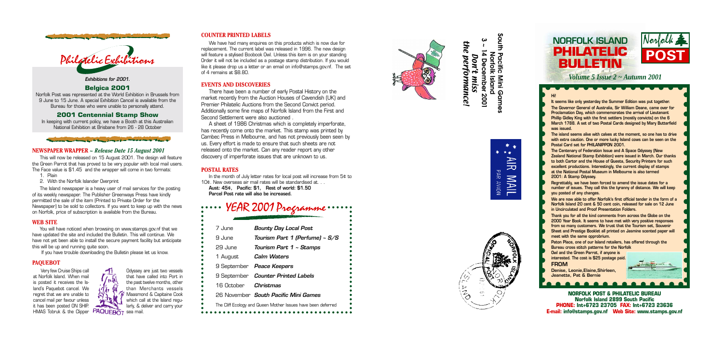• • • • • • • • • • • • • • •





### **Hi!**

**The island seems alive with calves at the moment, so one has to drive with extra caution. One or more lucky Island cows can be seen on the Postal Card set for PHILANIPPON 2001.** 

**The Centenary of Federation Issue and A Space Odyssey (New Zealand National Stamp Exhibition) were issued in March. Our thanks to both Cartor and the House of Questa, Security Printers for such excellent productions. Interestingly, the current display of stamps at the National Postal Museum in Melbourne is also termed 2001: A Stamp Odyssey.**

**NORFOLK POST & PHILATELIC BUREAU Norfolk Island 2899 South Pacific PHONE: Int+6723 23705 FAX: Int+6723 23636 E-mail: info@stamps.gov.nf Web Site: www.stamps.gov.nf** ••••••••••••••••••••

**It seems like only yesterday the Summer Edition was put together. The Governor General of Australia, Sir William Deane, came over for Proclamation Day, which commemorates the arrival of Lieutenant Phillip Gidley King with the first settlers (mostly convicts) on the 6 March 1788. A set of two Postal Cards designed by Mary Butterfield was issued.** • • • • • • • • • • • • • • • ••••••••••••••••••••

**Regrettably, we have been forced to amend the issue dates for a number of issues. They call this the tyranny of distance. We will keep you posted of any changes.**

**We are now able to offer Norfolk's first official tender in the form of a Norfolk Island 20 cent & 50 cent coin, released for sale on 12 June in Uncirculated and Proof Presentation Folders.**

**Thank you for all the kind comments from across the Globe on the 2000 Year Book. It seems to have met with very positive responses from so many customers. We trust that the Tourism set, Souvenir Sheet and Prestige Booklet all printed on Jasmine scented paper will meet with the same opprobrium.**

**Paton Place, one of our Island retailers, has offered through the Bureau cross stitch patterns for the Norfolk**

**Owl and the Green Parrot, if anyone is interested. The cost is \$25 postage paid.**

*Volume 5 Issue 2 ~ Autumn 2001*

**FROM**

**Denise, Leonie,Elaine,Shirleen, Jeanette, Pat & Bernie**

This will now be released on 15 August 2001. The design will feature the Green Parrot that has proved to be very popular with local mail users. The Face value is \$1.45 and the wrapper will come in two formats:

- 1. Plain
- 2. With the Norfolk Islander Overprint

The Island newspaper is a heavy user of mail services for the posting of its weekly newspaper. The Publisher Greenways Press have kindly permitted the sale of the item (Printed to Private Order for the Newspaper) to be sold to collectors. If you want to keep up with the news on Norfolk, price of subscription is available from the Bureau.

Very few Cruise Ships call at Norfolk Island. When mail is posted it receives the Island's Paquebot cancel. We regret that we are unable to cancel mail per favour unless it has been posted ON SHIP. HMAS Tobruk & the Clipper **MWUEBOT** sea mail.

## **COUNTER PRINTED LABELS**

\* \*\*

PAR AVION

)<br>이

**NAIL** 

**3 ~ 14 December 2001** the performance! $\blacktriangle$ **Don't** Don't miss performance! December miss 2001

 $\boldsymbol{\omega}$ 



We have had many enquires on this products which is now due for replacement. The current label was released in 1996. The new design will feature a stylised Boobook Owl. Unless this item is on your standing Order it will not be included as a postage stamp distribution. If you would like it please drop us a letter or an email on info@stamps.gov.nf. The set of 4 remains at \$8.80.

# **EVENTS AND DISCOVERIES**

There have been a number of early Postal History on the market recently from the Auction Houses of Cavendish (UK) and Premier Philatelic Auctions from the Second Convict period. Additionally some fine maps of Norfolk Island from the First and Second Settlement were also auctioned .

A sheet of 1986 Christmas which is completely imperforate, has recently come onto the market. This stamp was printed by Cambec Press in Melbourne, and has not previously been seen by us. Every effort is made to ensure that such sheets are not released onto the market. Can any reader report any other discovery of imperforate issues that are unknown to us.

# **POSTAL RATES**

In the month of July letter rates for local post will increase from 5¢ to 10¢. New overseas air mail rates will be standardised at. . .

**Aust: 45¢, Pacific: \$1, Rest of world: \$1.50 Parcel Post rate will also be increased.**

# **NEWSPAPER WRAPPER** *~ Release Date 15 August 2001*

### **WEB SITE**

You will have noticed when browsing on www.stamps.gov.nf that we have updated the site and included the Bulletin. This will continue. We have not yet been able to install the secure payment facility but anticipate this will be up and running quite soon.

If you have trouble downloading the Bulletin please let us know.

# **Exhibitions for 2001.**

## **Belgica 2001**

Norfolk Post was represented at the World Exhibition in Brussels from 9 June to 15 June. A special Exhibition Cancel is available from the Bureau for those who were unable to personally attend.

# **2001 Centennial Stamp Show**

In keeping with current policy, we have a Booth at this Australian National Exhibition at Brisbane from 26 - 28 October









### **PAQUEBOT**